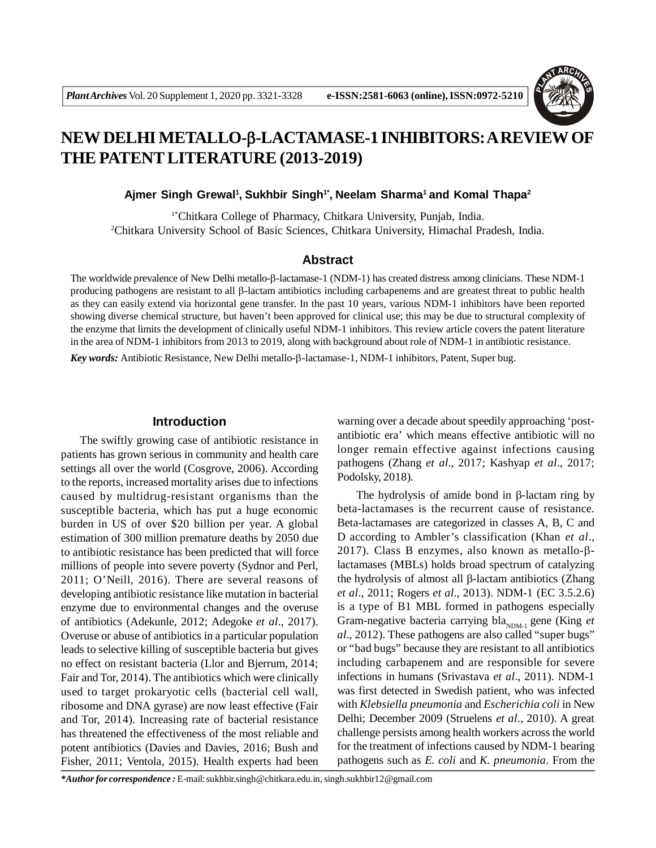

# **NEW DELHI METALLO--LACTAMASE-1 INHIBITORS: A REVIEW OF THE PATENT LITERATURE (2013-2019)**

**Ajmer Singh Grewal<sup>1</sup> , Sukhbir Singh1\* , Neelam Sharma<sup>1</sup>and Komal Thapa<sup>2</sup>**

1\*Chitkara College of Pharmacy, Chitkara University, Punjab, India. <sup>2</sup>Chitkara University School of Basic Sciences, Chitkara University, Himachal Pradesh, India.

#### **Abstract**

The worldwide prevalence of New Delhi metallo- $\beta$ -lactamase-1 (NDM-1) has created distress among clinicians. These NDM-1 producing pathogens are resistant to all  $\beta$ -lactam antibiotics including carbapenems and are greatest threat to public health as they can easily extend via horizontal gene transfer. In the past 10 years, various NDM-1 inhibitors have been reported showing diverse chemical structure, but haven't been approved for clinical use; this may be due to structural complexity of the enzyme that limits the development of clinically useful NDM-1 inhibitors. This review article covers the patent literature in the area of NDM-1 inhibitors from 2013 to 2019, along with background about role of NDM-1 in antibiotic resistance.

*Key words:* Antibiotic Resistance, New Delhi metallo-β-lactamase-1, NDM-1 inhibitors, Patent, Super bug.

#### **Introduction**

The swiftly growing case of antibiotic resistance in patients has grown serious in community and health care settings all over the world (Cosgrove, 2006). According to the reports, increased mortality arises due to infections caused by multidrug-resistant organisms than the susceptible bacteria, which has put a huge economic burden in US of over \$20 billion per year. A global estimation of 300 million premature deaths by 2050 due to antibiotic resistance has been predicted that will force millions of people into severe poverty (Sydnor and Perl, 2011; O'Neill, 2016). There are several reasons of developing antibiotic resistance like mutation in bacterial enzyme due to environmental changes and the overuse of antibiotics (Adekunle, 2012; Adegoke *et al*., 2017). Overuse or abuse of antibiotics in a particular population leads to selective killing of susceptible bacteria but gives no effect on resistant bacteria (Llor and Bjerrum, 2014; Fair and Tor, 2014). The antibiotics which were clinically used to target prokaryotic cells (bacterial cell wall, ribosome and DNA gyrase) are now least effective (Fair and Tor, 2014). Increasing rate of bacterial resistance has threatened the effectiveness of the most reliable and potent antibiotics (Davies and Davies, 2016; Bush and Fisher, 2011; Ventola, 2015). Health experts had been warning over a decade about speedily approaching 'postantibiotic era' which means effective antibiotic will no longer remain effective against infections causing pathogens (Zhang *et al*., 2017; Kashyap *et al*., 2017; Podolsky, 2018).

The hydrolysis of amide bond in  $\beta$ -lactam ring by beta-lactamases is the recurrent cause of resistance. Beta-lactamases are categorized in classes A, B, C and D according to Ambler's classification (Khan *et al*., 2017). Class B enzymes, also known as metallo- $\beta$ lactamases (MBLs) holds broad spectrum of catalyzing the hydrolysis of almost all  $\beta$ -lactam antibiotics (Zhang *et al*., 2011; Rogers *et al*., 2013). NDM-1 (EC 3.5.2.6) is a type of B1 MBL formed in pathogens especially Gram-negative bacteria carrying bla<sub>NDM-1</sub> gene (King *et*) *al*., 2012). These pathogens are also called "super bugs" or "bad bugs" because they are resistant to all antibiotics including carbapenem and are responsible for severe infections in humans (Srivastava *et al*., 2011). NDM-1 was first detected in Swedish patient, who was infected with *Klebsiella pneumonia* and *Escherichia coli* in New Delhi; December 2009 (Struelens *et al*., 2010). A great challenge persists among health workers across the world for the treatment of infections caused by NDM-1 bearing pathogens such as *E. coli* and *K. pneumonia*. From the

*\*Author for correspondence :* E-mail: sukhbir.singh@chitkara.edu.in, singh.sukhbir12@gmail.com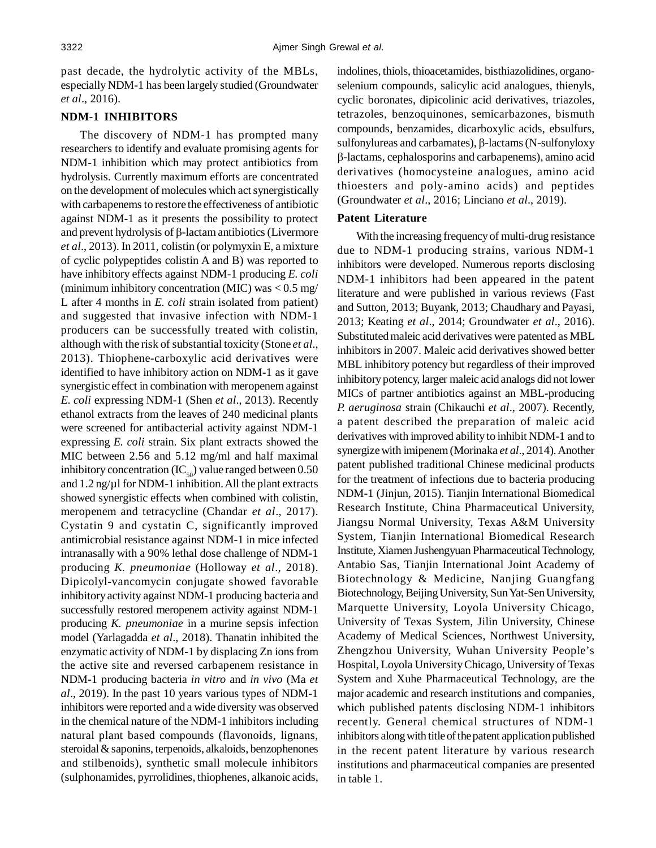past decade, the hydrolytic activity of the MBLs, especially NDM-1 has been largely studied (Groundwater *et al*., 2016).

#### **NDM-1 INHIBITORS**

The discovery of NDM-1 has prompted many researchers to identify and evaluate promising agents for NDM-1 inhibition which may protect antibiotics from hydrolysis. Currently maximum efforts are concentrated on the development of molecules which act synergistically with carbapenems to restore the effectiveness of antibiotic against NDM-1 as it presents the possibility to protect and prevent hydrolysis of  $\beta$ -lactam antibiotics (Livermore *et al*., 2013). In 2011, colistin (or polymyxin E, a mixture of cyclic polypeptides colistin A and B) was reported to have inhibitory effects against NDM-1 producing *E. coli* (minimum inhibitory concentration (MIC) was < 0.5 mg/ L after 4 months in *E. coli* strain isolated from patient) and suggested that invasive infection with NDM-1 producers can be successfully treated with colistin, although with the risk of substantial toxicity (Stone *et al*., 2013). Thiophene-carboxylic acid derivatives were identified to have inhibitory action on NDM-1 as it gave synergistic effect in combination with meropenem against *E. coli* expressing NDM-1 (Shen *et al*., 2013). Recently ethanol extracts from the leaves of 240 medicinal plants were screened for antibacterial activity against NDM-1 expressing *E. coli* strain. Six plant extracts showed the MIC between 2.56 and 5.12 mg/ml and half maximal inhibitory concentration (IC $_{50}$ ) value ranged between 0.50 and 1.2 ng/ $\mu$ l for NDM-1 inhibition. All the plant extracts showed synergistic effects when combined with colistin, meropenem and tetracycline (Chandar *et al*., 2017). Cystatin 9 and cystatin C, significantly improved antimicrobial resistance against NDM-1 in mice infected intranasally with a 90% lethal dose challenge of NDM-1 producing *K. pneumoniae* (Holloway *et al*., 2018). Dipicolyl-vancomycin conjugate showed favorable inhibitory activity against NDM-1 producing bacteria and successfully restored meropenem activity against NDM-1 producing *K. pneumoniae* in a murine sepsis infection model (Yarlagadda *et al*., 2018). Thanatin inhibited the enzymatic activity of NDM-1 by displacing Zn ions from the active site and reversed carbapenem resistance in NDM-1 producing bacteria *in vitro* and *in vivo* (Ma *et al*., 2019). In the past 10 years various types of NDM-1 inhibitors were reported and a wide diversity was observed in the chemical nature of the NDM-1 inhibitors including natural plant based compounds (flavonoids, lignans, steroidal & saponins, terpenoids, alkaloids, benzophenones and stilbenoids), synthetic small molecule inhibitors (sulphonamides, pyrrolidines, thiophenes, alkanoic acids, indolines, thiols, thioacetamides, bisthiazolidines, organoselenium compounds, salicylic acid analogues, thienyls, cyclic boronates, dipicolinic acid derivatives, triazoles, tetrazoles, benzoquinones, semicarbazones, bismuth compounds, benzamides, dicarboxylic acids, ebsulfurs, sulfonylureas and carbamates),  $\beta$ -lactams (N-sulfonyloxy -lactams, cephalosporins and carbapenems), amino acid derivatives (homocysteine analogues, amino acid thioesters and poly-amino acids) and peptides (Groundwater *et al*., 2016; Linciano *et al*., 2019).

## **Patent Literature**

With the increasing frequency of multi-drug resistance due to NDM-1 producing strains, various NDM-1 inhibitors were developed. Numerous reports disclosing NDM-1 inhibitors had been appeared in the patent literature and were published in various reviews (Fast and Sutton, 2013; Buyank, 2013; Chaudhary and Payasi, 2013; Keating *et al*., 2014; Groundwater *et al*., 2016). Substituted maleic acid derivatives were patented as MBL inhibitors in 2007. Maleic acid derivatives showed better MBL inhibitory potency but regardless of their improved inhibitory potency, larger maleic acid analogs did not lower MICs of partner antibiotics against an MBL-producing *P. aeruginosa* strain (Chikauchi *et al*., 2007). Recently, a patent described the preparation of maleic acid derivatives with improved ability to inhibit NDM-1 and to synergize with imipenem (Morinaka *et al*., 2014). Another patent published traditional Chinese medicinal products for the treatment of infections due to bacteria producing NDM-1 (Jinjun, 2015). Tianjin International Biomedical Research Institute, China Pharmaceutical University, Jiangsu Normal University, Texas A&M University System, Tianjin International Biomedical Research Institute, Xiamen Jushengyuan Pharmaceutical Technology, Antabio Sas, Tianjin International Joint Academy of Biotechnology & Medicine, Nanjing Guangfang Biotechnology, Beijing University, Sun Yat-Sen University, Marquette University, Loyola University Chicago, University of Texas System, Jilin University, Chinese Academy of Medical Sciences, Northwest University, Zhengzhou University, Wuhan University People's Hospital, Loyola University Chicago, University of Texas System and Xuhe Pharmaceutical Technology, are the major academic and research institutions and companies, which published patents disclosing NDM-1 inhibitors recently. General chemical structures of NDM-1 inhibitors along with title of the patent application published in the recent patent literature by various research institutions and pharmaceutical companies are presented in table 1.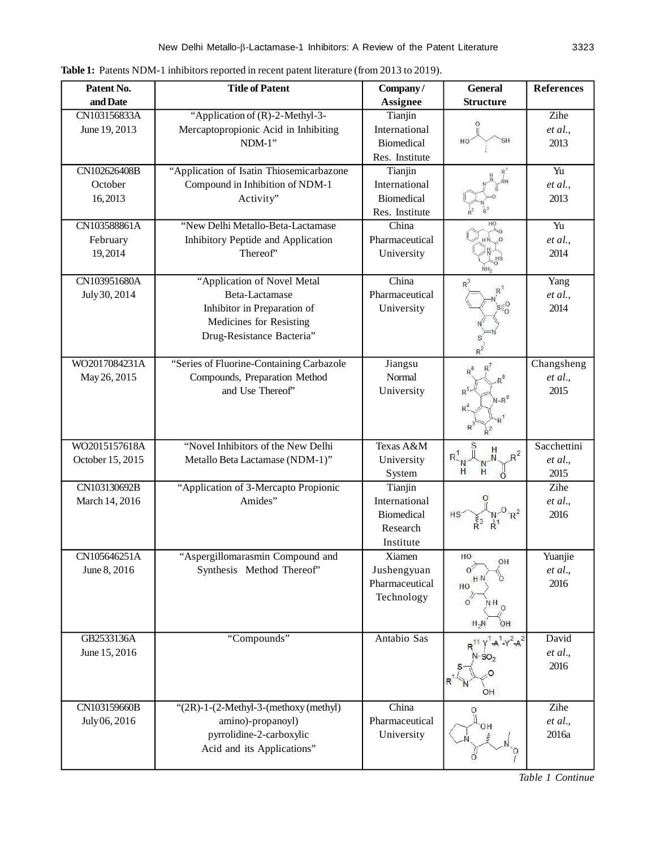| Company/<br>and Date<br><b>Structure</b><br><b>Assignee</b><br>"Application of (R)-2-Methyl-3-<br>Zihe<br>CN103156833A<br>Tianjin<br>Mercaptopropionic Acid in Inhibiting<br>June 19, 2013<br>International<br>et al.,<br>HO<br>$NDM-1"$<br><b>Biomedical</b><br>2013<br>Res. Institute |  |
|-----------------------------------------------------------------------------------------------------------------------------------------------------------------------------------------------------------------------------------------------------------------------------------------|--|
|                                                                                                                                                                                                                                                                                         |  |
|                                                                                                                                                                                                                                                                                         |  |
|                                                                                                                                                                                                                                                                                         |  |
|                                                                                                                                                                                                                                                                                         |  |
|                                                                                                                                                                                                                                                                                         |  |
| "Application of Isatin Thiosemicarbazone<br>$\overline{Yu}$<br>CN102626408B<br>Tianjin                                                                                                                                                                                                  |  |
| October<br>Compound in Inhibition of NDM-1<br>International<br>et al.,                                                                                                                                                                                                                  |  |
| 16,2013<br>Activity"<br><b>Biomedical</b><br>2013                                                                                                                                                                                                                                       |  |
| Res. Institute                                                                                                                                                                                                                                                                          |  |
| HO<br>CN103588861A<br>"New Delhi Metallo-Beta-Lactamase<br>China<br>Yu                                                                                                                                                                                                                  |  |
| Inhibitory Peptide and Application<br>Pharmaceutical<br>February<br>et al.,                                                                                                                                                                                                             |  |
| Thereof'<br>19,2014<br>University<br>2014                                                                                                                                                                                                                                               |  |
|                                                                                                                                                                                                                                                                                         |  |
| CN103951680A<br>"Application of Novel Metal<br>China<br>Yang<br>R                                                                                                                                                                                                                       |  |
| July 30, 2014<br>Beta-Lactamase<br>Pharmaceutical<br>et al.,                                                                                                                                                                                                                            |  |
| Inhibitor in Preparation of<br>University<br>2014                                                                                                                                                                                                                                       |  |
| Medicines for Resisting                                                                                                                                                                                                                                                                 |  |
| Drug-Resistance Bacteria"                                                                                                                                                                                                                                                               |  |
|                                                                                                                                                                                                                                                                                         |  |
| "Series of Fluorine-Containing Carbazole<br>WO2017084231A<br>Changsheng<br>Jiangsu                                                                                                                                                                                                      |  |
| Compounds, Preparation Method<br>Normal<br>May 26, 2015<br>et al.,                                                                                                                                                                                                                      |  |
| and Use Thereof"<br>$R^5$<br>2015<br>University                                                                                                                                                                                                                                         |  |
| $N-R^0$<br>$R^2$                                                                                                                                                                                                                                                                        |  |
|                                                                                                                                                                                                                                                                                         |  |
|                                                                                                                                                                                                                                                                                         |  |
| WO2015157618A<br>"Novel Inhibitors of the New Delhi<br>Texas A&M<br>Sacchettini<br>H<br>$R^2$                                                                                                                                                                                           |  |
| October 15, 2015<br>Metallo Beta Lactamase (NDM-1)"<br>University<br>et al.,                                                                                                                                                                                                            |  |
| H<br>2015<br>System                                                                                                                                                                                                                                                                     |  |
| CN103130692B<br>"Application of 3-Mercapto Propionic<br>Zihe<br>Tianjin                                                                                                                                                                                                                 |  |
| March 14, 2016<br>Amides"<br>International<br>et al.,                                                                                                                                                                                                                                   |  |
| <b>Biomedical</b><br>2016<br>HS                                                                                                                                                                                                                                                         |  |
| Research                                                                                                                                                                                                                                                                                |  |
| Institute                                                                                                                                                                                                                                                                               |  |
| "Aspergillomarasmin Compound and<br>Yuanjie<br>CN105646251A<br>Xiamen<br>HO<br>ΟH                                                                                                                                                                                                       |  |
| $\sigma'$<br>Synthesis Method Thereof"<br>June 8, 2016<br>Jushengyuan<br>et al.,<br>$H \cdot N$                                                                                                                                                                                         |  |
| Pharmaceutical<br>2016<br>HO                                                                                                                                                                                                                                                            |  |
| Technology<br>$\Omega$<br>$N H_0$                                                                                                                                                                                                                                                       |  |
|                                                                                                                                                                                                                                                                                         |  |
| OH<br>$H_2N$                                                                                                                                                                                                                                                                            |  |
| "Compounds"<br>Antabio Sas<br>GB2533136A<br>David<br>$-Y^2A^2$                                                                                                                                                                                                                          |  |
| June 15, 2016<br>et al.,<br>$N-SO2$                                                                                                                                                                                                                                                     |  |
| 2016                                                                                                                                                                                                                                                                                    |  |
| OH                                                                                                                                                                                                                                                                                      |  |
| China<br>Zihe<br>CN103159660B<br>" $(2R)-1-(2-Methyl-3-(methoxy(methyl))$                                                                                                                                                                                                               |  |
| $\circ$<br>Pharmaceutical<br>July 06, 2016<br>amino)-propanoyl)<br>et al.,                                                                                                                                                                                                              |  |
| ΟH<br>pyrrolidine-2-carboxylic<br>University<br>2016a                                                                                                                                                                                                                                   |  |
| Acid and its Applications"                                                                                                                                                                                                                                                              |  |
|                                                                                                                                                                                                                                                                                         |  |

Table 1: Patents NDM-1 inhibitors reported in recent patent literature (from 2013 to 2019).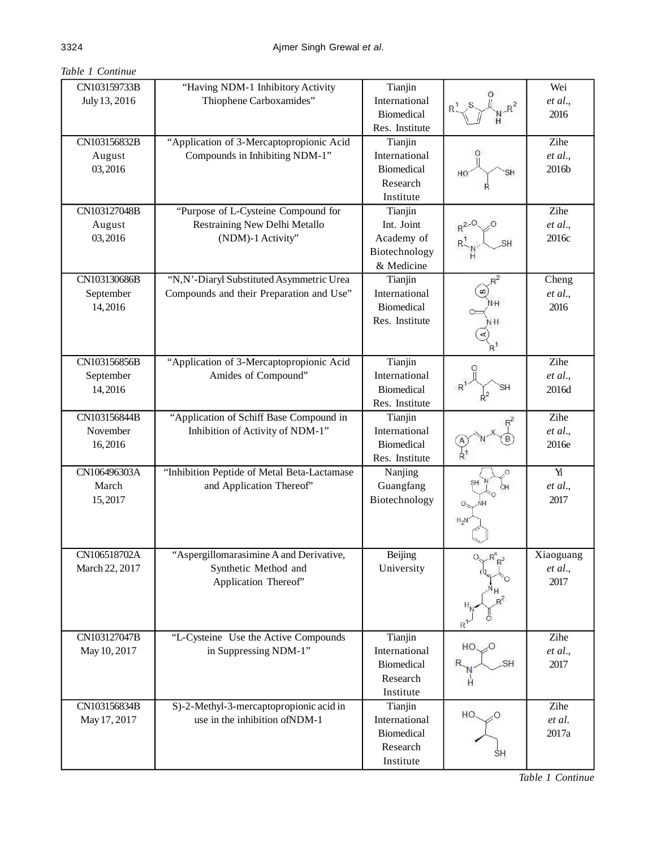|  | Table 1 Continue |
|--|------------------|
|  |                  |

| CN103159733B   | "Having NDM-1 Inhibitory Activity           | Tianjin           |                        | Wei          |
|----------------|---------------------------------------------|-------------------|------------------------|--------------|
| July 13, 2016  | Thiophene Carboxamides"                     |                   |                        | et al.,      |
|                |                                             | <b>Biomedical</b> |                        | 2016         |
|                |                                             | Res. Institute    |                        |              |
| CN103156832B   | "Application of 3-Mercaptopropionic Acid    | Tianjin           |                        | Zihe         |
| August         | Compounds in Inhibiting NDM-1"              | International     |                        | et al.,      |
| 03,2016        |                                             | <b>Biomedical</b> | SН<br>HO               | 2016b        |
|                |                                             | Research          |                        |              |
|                |                                             | Institute         |                        |              |
| CN103127048B   | "Purpose of L-Cysteine Compound for         | Tianjin           |                        | Zihe         |
| August         | Restraining New Delhi Metallo               | Int. Joint        | $R^{2,0}$              | et al.,      |
| 03,2016        | (NDM)-1 Activity"                           | Academy of        |                        | 2016c        |
|                |                                             | Biotechnology     |                        |              |
|                |                                             | & Medicine        |                        |              |
| CN103130686B   |                                             |                   |                        |              |
|                | "N,N'-Diaryl Substituted Asymmetric Urea    | Tianjin           |                        | Cheng        |
| September      | Compounds and their Preparation and Use"    | International     | ΝH                     | et al.,      |
| 14,2016        |                                             | <b>Biomedical</b> |                        | 2016         |
|                |                                             | Res. Institute    | N·H                    |              |
|                |                                             |                   |                        |              |
|                |                                             |                   |                        |              |
| CN103156856B   | "Application of 3-Mercaptopropionic Acid    | Tianjin           |                        | Zihe         |
| September      | Amides of Compound"                         | International     |                        | et al.,      |
| 14,2016        |                                             | <b>Biomedical</b> | SН                     | 2016d        |
|                |                                             | Res. Institute    |                        |              |
| CN103156844B   | "Application of Schiff Base Compound in     | Tianjin           |                        | Zihe         |
| November       | Inhibition of Activity of NDM-1"            | International     |                        | et al.,      |
| 16,2016        |                                             | <b>Biomedical</b> |                        | 2016e        |
|                |                                             | Res. Institute    |                        |              |
| CN106496303A   | "Inhibition Peptide of Metal Beta-Lactamase | Nanjing           |                        | $\mathbf{Y}$ |
| March          | and Application Thereof"                    | Guangfang         |                        | et al.,      |
| 15,2017        |                                             | Biotechnology     |                        | 2017         |
|                |                                             |                   |                        |              |
|                |                                             |                   | $H_2N$                 |              |
|                |                                             |                   |                        |              |
| CN106518702A   | "Aspergillomarasimine A and Derivative,     | Beijing           | $O_{R}R^{4}-3$         | Xiaoguang    |
| March 22, 2017 | Synthetic Method and                        | University        |                        | et al.,      |
|                | Application Thereof"                        |                   |                        | 2017         |
|                |                                             |                   |                        |              |
|                |                                             |                   |                        |              |
|                |                                             |                   |                        |              |
|                |                                             |                   |                        |              |
| CN103127047B   | "L-Cysteine Use the Active Compounds        | Tianjin           | HO.                    | Zihe         |
| May 10, 2017   | in Suppressing NDM-1"                       | International     |                        | et al.,      |
|                |                                             | <b>Biomedical</b> |                        | 2017         |
|                |                                             | Research          |                        |              |
|                |                                             | Institute         |                        |              |
| CN103156834B   | S)-2-Methyl-3-mercaptopropionic acid in     | Tianjin           | $HO_{\sim}$ $\sim$ $O$ | Zihe         |
| May 17, 2017   | use in the inhibition of NDM-1              | International     |                        | et al.       |
|                |                                             | <b>Biomedical</b> |                        | 2017a        |
|                |                                             | Research          | ŜΗ                     |              |
|                |                                             | Institute         |                        |              |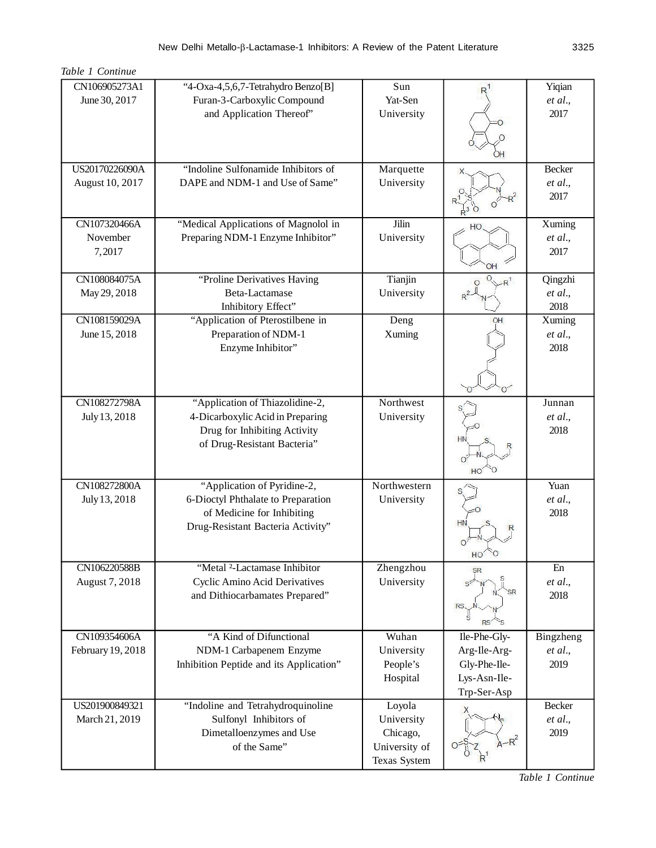| CN106905273A1     | "4-Oxa-4,5,6,7-Tetrahydro Benzo[B]            | Sun           |              | Yiqian             |
|-------------------|-----------------------------------------------|---------------|--------------|--------------------|
| June 30, 2017     | Furan-3-Carboxylic Compound                   | Yat-Sen       |              | et al.,            |
|                   | and Application Thereof"                      | University    |              | 2017               |
|                   |                                               |               |              |                    |
|                   |                                               |               |              |                    |
|                   |                                               |               |              |                    |
| US20170226090A    | "Indoline Sulfonamide Inhibitors of           | Marquette     |              | Becker             |
| August 10, 2017   | DAPE and NDM-1 and Use of Same"               | University    |              | et al.,            |
|                   |                                               |               |              | 2017               |
|                   |                                               |               |              |                    |
| CN107320466A      | "Medical Applications of Magnolol in          | Jilin         |              | Xuming             |
| November          | Preparing NDM-1 Enzyme Inhibitor"             | University    |              | et al.,            |
| 7,2017            |                                               |               |              | 2017               |
|                   |                                               |               |              |                    |
| CN108084075A      | "Proline Derivatives Having<br>Beta-Lactamase | Tianjin       |              | Qingzhi<br>et al., |
| May 29, 2018      | Inhibitory Effect"                            | University    |              | 2018               |
| CN108159029A      | "Application of Pterostilbene in              | Deng          | OH           | Xuming             |
| June 15, 2018     | Preparation of NDM-1                          | Xuming        |              | et al.,            |
|                   | Enzyme Inhibitor"                             |               |              | 2018               |
|                   |                                               |               |              |                    |
|                   |                                               |               |              |                    |
|                   |                                               |               |              |                    |
| CN108272798A      | "Application of Thiazolidine-2,               | Northwest     |              | Junnan             |
| July 13, 2018     | 4-Dicarboxylic Acid in Preparing              | University    |              | et al.,            |
|                   | Drug for Inhibiting Activity                  |               |              | 2018               |
|                   | of Drug-Resistant Bacteria"                   |               | <b>HN</b>    |                    |
|                   |                                               |               |              |                    |
|                   |                                               |               | HO           |                    |
| CN108272800A      | "Application of Pyridine-2,                   | Northwestern  |              | Yuan               |
| July 13, 2018     | 6-Dioctyl Phthalate to Preparation            | University    |              | et al.,            |
|                   | of Medicine for Inhibiting                    |               |              | 2018               |
|                   | Drug-Resistant Bacteria Activity"             |               |              |                    |
|                   |                                               |               |              |                    |
| CN106220588B      | "Metal <sup>2</sup> -Lactamase Inhibitor      | Zhengzhou     |              | En                 |
| August 7, 2018    | Cyclic Amino Acid Derivatives                 | University    | <b>SR</b>    | et al.,            |
|                   | and Dithiocarbamates Prepared"                |               | SR           | 2018               |
|                   |                                               |               | RS           |                    |
|                   |                                               |               |              |                    |
| CN109354606A      | "A Kind of Difunctional                       | Wuhan         | Ile-Phe-Gly- | Bingzheng          |
| February 19, 2018 | NDM-1 Carbapenem Enzyme                       | University    | Arg-Ile-Arg- | et al.,            |
|                   | Inhibition Peptide and its Application"       | People's      | Gly-Phe-Ile- | 2019               |
|                   |                                               | Hospital      | Lys-Asn-Ile- |                    |
|                   |                                               |               | Trp-Ser-Asp  |                    |
| US201900849321    | "Indoline and Tetrahydroquinoline             | Loyola        |              | Becker             |
| March 21, 2019    | Sulfonyl Inhibitors of                        | University    |              | et al.,            |
|                   | Dimetalloenzymes and Use                      | Chicago,      |              | 2019               |
|                   | of the Same"                                  | University of |              |                    |
|                   |                                               | Texas System  |              |                    |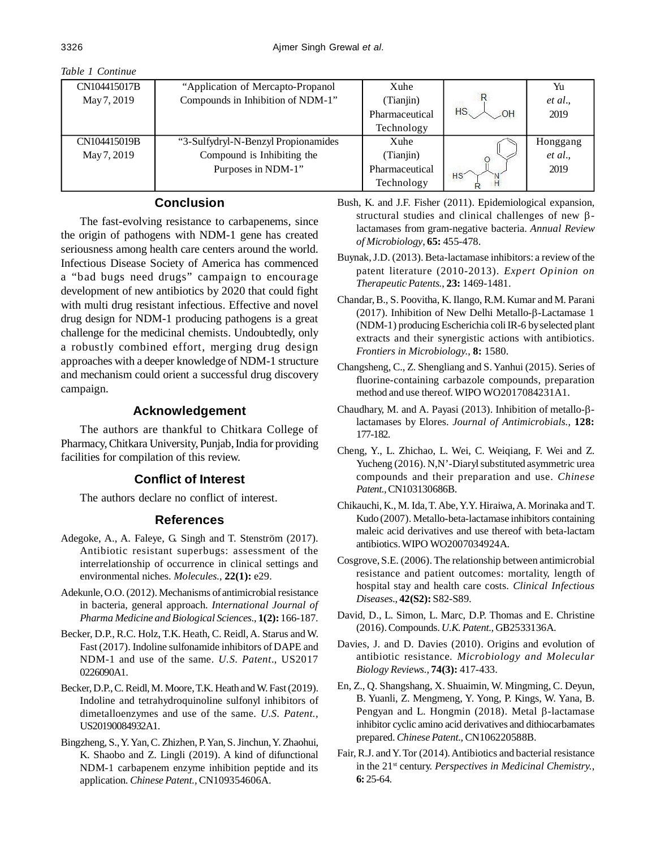| CN104415017B | "Application of Mercapto-Propanol"   | Xuhe           |           | Yu       |
|--------------|--------------------------------------|----------------|-----------|----------|
| May 7, 2019  | Compounds in Inhibition of NDM-1"    | (Tianjin)      |           | et al.,  |
|              |                                      | Pharmaceutical | <b>HS</b> | 2019     |
|              |                                      | Technology     |           |          |
| CN104415019B | "3-Sulfydryl-N-Benzyl Propionamides" | Xuhe           |           | Honggang |
| May 7, 2019  | Compound is Inhibiting the           | (Tianjin)      |           | et al.,  |
|              | Purposes in NDM-1"                   | Pharmaceutical | HS        | 2019     |
|              |                                      | Technology     | н         |          |

# **Conclusion**

The fast-evolving resistance to carbapenems, since the origin of pathogens with NDM-1 gene has created seriousness among health care centers around the world. Infectious Disease Society of America has commenced a "bad bugs need drugs" campaign to encourage development of new antibiotics by 2020 that could fight with multi drug resistant infectious. Effective and novel drug design for NDM-1 producing pathogens is a great challenge for the medicinal chemists. Undoubtedly, only a robustly combined effort, merging drug design approaches with a deeper knowledge of NDM-1 structure and mechanism could orient a successful drug discovery campaign.

## **Acknowledgement**

The authors are thankful to Chitkara College of Pharmacy, Chitkara University, Punjab, India for providing facilities for compilation of this review.

#### **Conflict of Interest**

The authors declare no conflict of interest.

#### **References**

- Adegoke, A., A. Faleye, G. Singh and T. Stenström (2017). Antibiotic resistant superbugs: assessment of the interrelationship of occurrence in clinical settings and environmental niches. *Molecules.*, **22(1):** e29.
- Adekunle, O.O. (2012). Mechanisms of antimicrobial resistance in bacteria, general approach. *International Journal of Pharma Medicine and Biological Sciences.*, **1(2):** 166-187.
- Becker, D.P., R.C. Holz, T.K. Heath, C. Reidl, A. Starus and W. Fast (2017). Indoline sulfonamide inhibitors of DAPE and NDM-1 and use of the same. *U.S. Patent*., US2017 0226090A1.
- Becker, D.P., C. Reidl, M. Moore, T.K. Heath and W. Fast (2019). Indoline and tetrahydroquinoline sulfonyl inhibitors of dimetalloenzymes and use of the same. *U.S. Patent.,* US20190084932A1.
- Bingzheng, S., Y. Yan, C. Zhizhen, P. Yan, S. Jinchun, Y. Zhaohui, K. Shaobo and Z. Lingli (2019). A kind of difunctional NDM-1 carbapenem enzyme inhibition peptide and its application. *Chinese Patent.,* CN109354606A.
- Bush, K. and J.F. Fisher (2011). Epidemiological expansion, structural studies and clinical challenges of new  $\beta$ lactamases from gram-negative bacteria. *Annual Review of Microbiology*, **65:** 455-478.
- Buynak, J.D. (2013). Beta-lactamase inhibitors: a review of the patent literature (2010-2013). *Expert Opinion on Therapeutic Patents.*, **23:** 1469-1481.
- Chandar, B., S. Poovitha, K. Ilango, R.M. Kumar and M. Parani (2017). Inhibition of New Delhi Metallo- $\beta$ -Lactamase 1 (NDM-1) producing Escherichia coli IR-6 by selected plant extracts and their synergistic actions with antibiotics. *Frontiers in Microbiology.*, **8:** 1580.
- Changsheng, C., Z. Shengliang and S. Yanhui (2015). Series of fluorine-containing carbazole compounds, preparation method and use thereof. WIPO WO2017084231A1.
- Chaudhary, M. and A. Payasi (2013). Inhibition of metallo- $\beta$ lactamases by Elores. *Journal of Antimicrobials.*, **128:** 177-182.
- Cheng, Y., L. Zhichao, L. Wei, C. Weiqiang, F. Wei and Z. Yucheng (2016). N,N'-Diaryl substituted asymmetric urea compounds and their preparation and use. *Chinese Patent.,* CN103130686B.
- Chikauchi, K., M. Ida, T. Abe, Y.Y. Hiraiwa, A. Morinaka and T. Kudo (2007). Metallo-beta-lactamase inhibitors containing maleic acid derivatives and use thereof with beta-lactam antibiotics. WIPO WO2007034924A.
- Cosgrove, S.E. (2006). The relationship between antimicrobial resistance and patient outcomes: mortality, length of hospital stay and health care costs. *Clinical Infectious Diseases.*, **42(S2):** S82-S89.
- David, D., L. Simon, L. Marc, D.P. Thomas and E. Christine (2016). Compounds. *U.K. Patent.,* GB2533136A.
- Davies, J. and D. Davies (2010). Origins and evolution of antibiotic resistance. *Microbiology and Molecular Biology Reviews.*, **74(3):** 417-433.
- En, Z., Q. Shangshang, X. Shuaimin, W. Mingming, C. Deyun, B. Yuanli, Z. Mengmeng, Y. Yong, P. Kings, W. Yana, B. Pengyan and L. Hongmin (2018). Metal  $\beta$ -lactamase inhibitor cyclic amino acid derivatives and dithiocarbamates prepared. *Chinese Patent.,* CN106220588B.
- Fair, R.J. and Y. Tor (2014). Antibiotics and bacterial resistance in the 21st century. *Perspectives in Medicinal Chemistry.*, **6:** 25-64.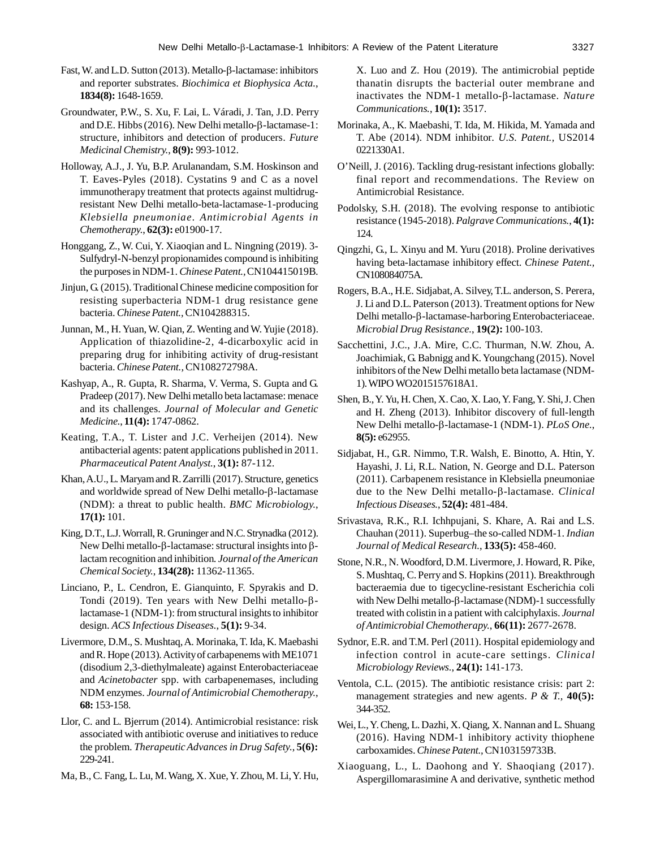- Fast, W. and L.D. Sutton (2013). Metallo- $\beta$ -lactamase: inhibitors and reporter substrates. *Biochimica et Biophysica Acta.*, **1834(8):** 1648-1659.
- Groundwater, P.W., S. Xu, F. Lai, L. Váradi, J. Tan, J.D. Perry and D.E. Hibbs (2016). New Delhi metallo- $\beta$ -lactamase-1: structure, inhibitors and detection of producers. *Future Medicinal Chemistry.*, **8(9):** 993-1012.
- Holloway, A.J., J. Yu, B.P. Arulanandam, S.M. Hoskinson and T. Eaves-Pyles (2018). Cystatins 9 and C as a novel immunotherapy treatment that protects against multidrugresistant New Delhi metallo-beta-lactamase-1-producing *Klebsiella pneumoniae*. *Antimicrobial Agents in Chemotherapy.*, **62(3):** e01900-17.
- Honggang, Z., W. Cui, Y. Xiaoqian and L. Ningning (2019). 3- Sulfydryl-N-benzyl propionamides compound is inhibiting the purposes in NDM-1. *Chinese Patent.,* CN104415019B.
- Jinjun, G. (2015). Traditional Chinese medicine composition for resisting superbacteria NDM-1 drug resistance gene bacteria. *Chinese Patent.,* CN104288315.
- Junnan, M., H. Yuan, W. Qian, Z. Wenting and W. Yujie (2018). Application of thiazolidine-2, 4-dicarboxylic acid in preparing drug for inhibiting activity of drug-resistant bacteria. *Chinese Patent.,* CN108272798A.
- Kashyap, A., R. Gupta, R. Sharma, V. Verma, S. Gupta and G. Pradeep (2017). New Delhi metallo beta lactamase: menace and its challenges. *Journal of Molecular and Genetic Medicine.*, **11(4):** 1747-0862.
- Keating, T.A., T. Lister and J.C. Verheijen (2014). New antibacterial agents: patent applications published in 2011. *Pharmaceutical Patent Analyst.*, **3(1):** 87-112.
- Khan, A.U., L. Maryam and R. Zarrilli (2017). Structure, genetics and worldwide spread of New Delhi metallo- $\beta$ -lactamase (NDM): a threat to public health. *BMC Microbiology.*, **17(1):** 101.
- King, D.T., L.J. Worrall, R. Gruninger and N.C. Strynadka (2012). New Delhi metallo- $\beta$ -lactamase: structural insights into  $\beta$ lactam recognition and inhibition. *Journal of the American Chemical Society.*, **134(28):** 11362-11365.
- Linciano, P., L. Cendron, E. Gianquinto, F. Spyrakis and D. Tondi (2019). Ten years with New Delhi metallo- $\beta$ lactamase-1 (NDM-1): from structural insights to inhibitor design. *ACS Infectious Diseases.*, **5(1):** 9-34.
- Livermore, D.M., S. Mushtaq, A. Morinaka, T. Ida, K. Maebashi and R. Hope (2013). Activity of carbapenems with ME1071 (disodium 2,3-diethylmaleate) against Enterobacteriaceae and *Acinetobacter* spp. with carbapenemases, including NDM enzymes. *Journal of Antimicrobial Chemotherapy.*, **68:** 153-158.
- Llor, C. and L. Bjerrum (2014). Antimicrobial resistance: risk associated with antibiotic overuse and initiatives to reduce the problem. *Therapeutic Advances in Drug Safety.*, **5(6):** 229-241.
- Ma, B., C. Fang, L. Lu, M. Wang, X. Xue, Y. Zhou, M. Li, Y. Hu,

X. Luo and Z. Hou (2019). The antimicrobial peptide thanatin disrupts the bacterial outer membrane and inactivates the NDM-1 metallo- $\beta$ -lactamase. *Nature Communications.*, **10(1):** 3517.

- Morinaka, A., K. Maebashi, T. Ida, M. Hikida, M. Yamada and T. Abe (2014). NDM inhibitor. *U.S. Patent.,* US2014 0221330A1.
- O'Neill, J. (2016). Tackling drug-resistant infections globally: final report and recommendations. The Review on Antimicrobial Resistance.
- Podolsky, S.H. (2018). The evolving response to antibiotic resistance (1945-2018). *Palgrave Communications.*, **4(1):** 124.
- Qingzhi, G., L. Xinyu and M. Yuru (2018). Proline derivatives having beta-lactamase inhibitory effect. *Chinese Patent.,* CN108084075A.
- Rogers, B.A., H.E. Sidjabat, A. Silvey, T.L. anderson, S. Perera, J. Li and D.L. Paterson (2013). Treatment options for New Delhi metallo-β-lactamase-harboring Enterobacteriaceae. *Microbial Drug Resistance.*, **19(2):** 100-103.
- Sacchettini, J.C., J.A. Mire, C.C. Thurman, N.W. Zhou, A. Joachimiak, G. Babnigg and K. Youngchang (2015). Novel inhibitors of the New Delhi metallo beta lactamase (NDM-1). WIPO WO2015157618A1.
- Shen, B., Y. Yu, H. Chen, X. Cao, X. Lao, Y. Fang, Y. Shi, J. Chen and H. Zheng (2013). Inhibitor discovery of full-length New Delhi metallo-β-lactamase-1 (NDM-1). *PLoS One.*, **8(5):** e62955.
- Sidjabat, H., G.R. Nimmo, T.R. Walsh, E. Binotto, A. Htin, Y. Hayashi, J. Li, R.L. Nation, N. George and D.L. Paterson (2011). Carbapenem resistance in Klebsiella pneumoniae due to the New Delhi metallo-β-lactamase. *Clinical Infectious Diseases.*, **52(4):** 481-484.
- Srivastava, R.K., R.I. Ichhpujani, S. Khare, A. Rai and L.S. Chauhan (2011). Superbug–the so-called NDM-1. *Indian Journal of Medical Research.*, **133(5):** 458-460.
- Stone, N.R., N. Woodford, D.M. Livermore, J. Howard, R. Pike, S. Mushtaq, C. Perry and S. Hopkins (2011). Breakthrough bacteraemia due to tigecycline-resistant Escherichia coli with New Delhi metallo- $\beta$ -lactamase (NDM)-1 successfully treated with colistin in a patient with calciphylaxis. *Journal of Antimicrobial Chemotherapy.*, **66(11):** 2677-2678.
- Sydnor, E.R. and T.M. Perl (2011). Hospital epidemiology and infection control in acute-care settings. *Clinical Microbiology Reviews.*, **24(1):** 141-173.
- Ventola, C.L. (2015). The antibiotic resistance crisis: part 2: management strategies and new agents. *P & T.,* **40(5):** 344-352.
- Wei, L., Y. Cheng, L. Dazhi, X. Qiang, X. Nannan and L. Shuang (2016). Having NDM-1 inhibitory activity thiophene carboxamides. *Chinese Patent.,* CN103159733B.
- Xiaoguang, L., L. Daohong and Y. Shaoqiang (2017). Aspergillomarasimine A and derivative, synthetic method